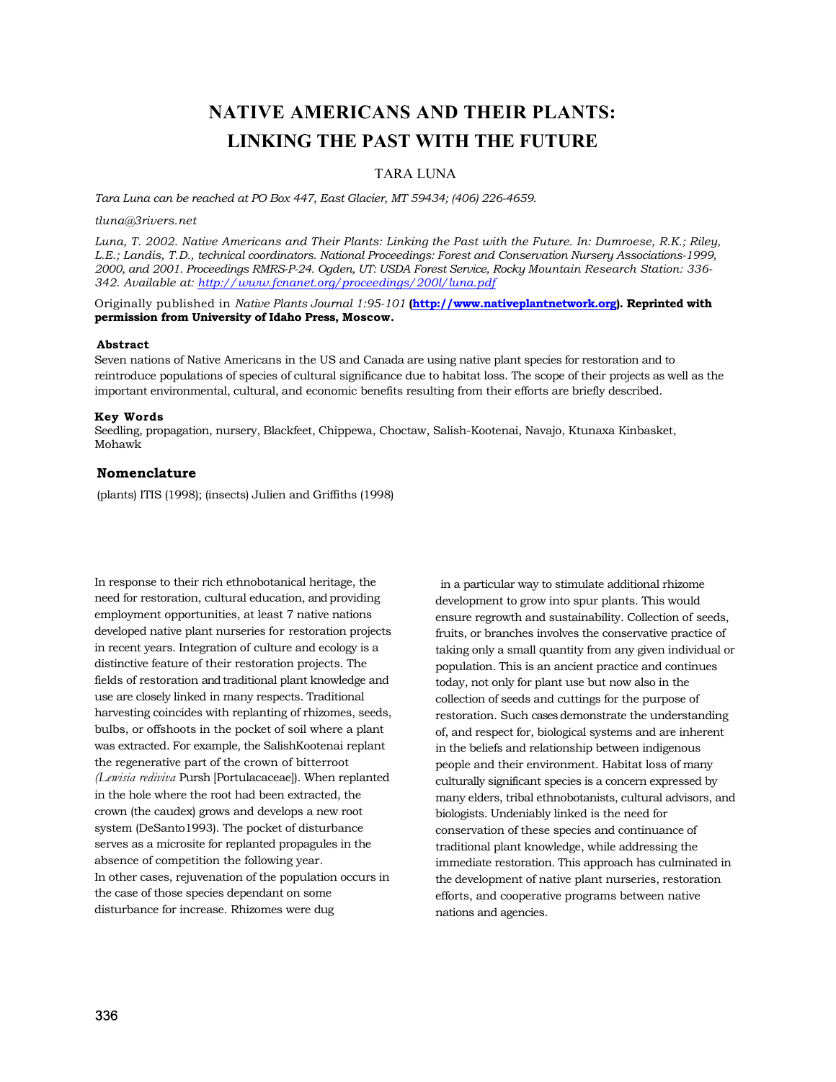# **NATIVE AMERICANS AND THEIR PLANTS: LINKING THE PAST WITH THE FUTURE**

# TARA LUNA

*Tara Luna can be reached at PO Box 447, East Glacier, MT 59434; (406) 226-4659.*

*tluna@3rivers.net*

*Luna, T. 2002. Native Americans and Their Plants: Linking the Past with the Future. In: Dumroese, R.K.; Riley, L.E.; Landis, T.D., technical coordinators. National Proceedings: Forest and Conservation Nursery Associations-1999, 2000, and 2001. Proceedings RMRS-P-24. Ogden, UT: USDA Forest Service, Rocky Mountain Research Station: 336- 342. Available at: <http://www.fcnanet.org/proceedings/200l/luna.pdf>*

Originally published in *Native Plants Journal 1:95-101* **[\(http://www.nativeplantnetwork.org](http://www.nativeplantnetwork.org/)). Reprinted with permission from University of Idaho Press, Moscow.**

#### **Abstract**

Seven nations of Native Americans in the US and Canada are using native plant species for restoration and to reintroduce populations of species of cultural significance due to habitat loss. The scope of their projects as well as the important environmental, cultural, and economic benefits resulting from their efforts are briefly described.

#### **Key Words**

Seedling, propagation, nursery, Blackfeet, Chippewa, Choctaw, Salish-Kootenai, Navajo, Ktunaxa Kinbasket, Mohawk

## **Nomenclature**

(plants) ITIS (1998); (insects) Julien and Griffiths (1998)

In response to their rich ethnobotanical heritage, the need for restoration, cultural education, and providing employment opportunities, at least 7 native nations developed native plant nurseries for restoration projects in recent years. Integration of culture and ecology is a distinctive feature of their restoration projects. The fields of restoration and traditional plant knowledge and use are closely linked in many respects. Traditional harvesting coincides with replanting of rhizomes, seeds, bulbs, or offshoots in the pocket of soil where a plant was extracted. For example, the SalishKootenai replant the regenerative part of the crown of bitterroot *(Lewisia rediviva* Pursh [Portulacaceae]). When replanted in the hole where the root had been extracted, the crown (the caudex) grows and develops a new root system (DeSanto1993). The pocket of disturbance serves as a microsite for replanted propagules in the absence of competition the following year. In other cases, rejuvenation of the population occurs in the case of those species dependant on some disturbance for increase. Rhizomes were dug

in a particular way to stimulate additional rhizome development to grow into spur plants. This would ensure regrowth and sustainability. Collection of seeds, fruits, or branches involves the conservative practice of taking only a small quantity from any given individual or population. This is an ancient practice and continues today, not only for plant use but now also in the collection of seeds and cuttings for the purpose of restoration. Such casesdemonstrate the understanding of, and respect for, biological systems and are inherent in the beliefs and relationship between indigenous people and their environment. Habitat loss of many culturally significant species is a concern expressed by many elders, tribal ethnobotanists, cultural advisors, and biologists. Undeniably linked is the need for conservation of these species and continuance of traditional plant knowledge, while addressing the immediate restoration. This approach has culminated in the development of native plant nurseries, restoration efforts, and cooperative programs between native nations and agencies.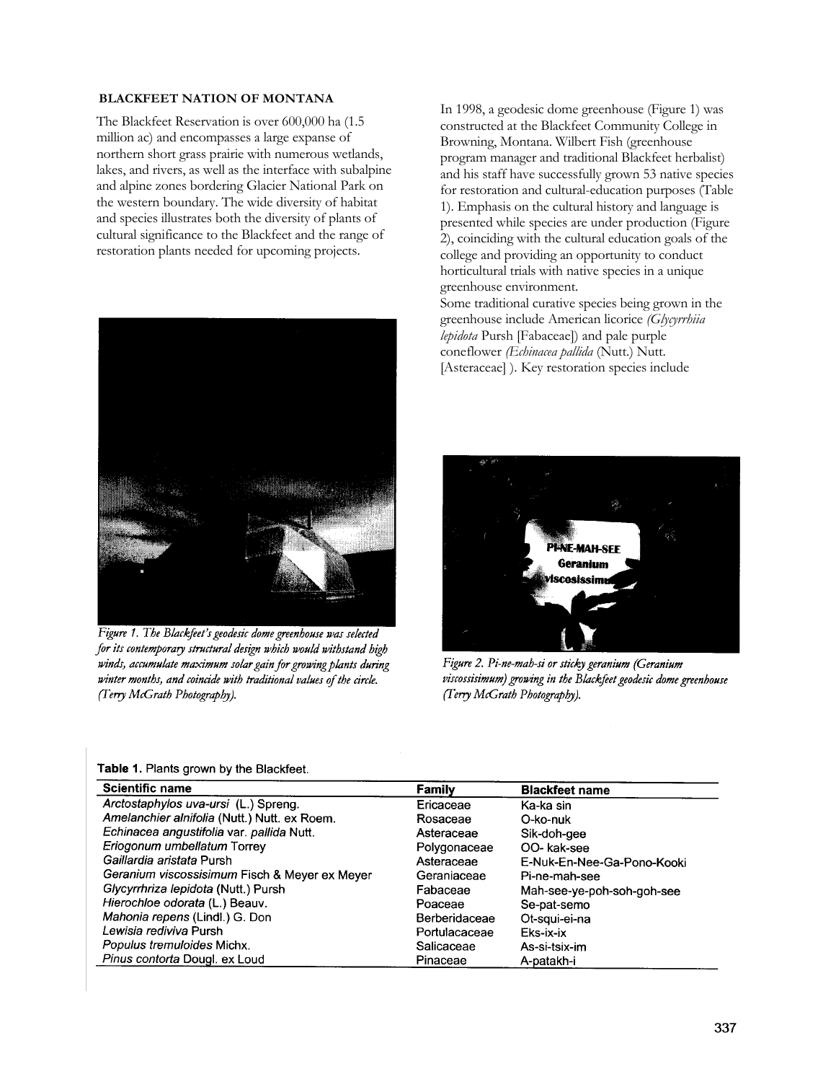# **BLACKFEET NATION OF MONTANA**

The Blackfeet Reservation is over 600,000 ha (1.5 million ac) and encompasses a large expanse of northern short grass prairie with numerous wetlands, lakes, and rivers, as well as the interface with subalpine and alpine zones bordering Glacier National Park on the western boundary. The wide diversity of habitat and species illustrates both the diversity of plants of cultural significance to the Blackfeet and the range of restoration plants needed for upcoming projects.



Figure 1. The Blackfeet's geodesic dome greenhouse was selected for its contemporary structural design which would withstand high winds, accumulate maximum solar gain for growing plants during winter months, and coincide with traditional values of the circle. (Terry McGrath Photography).

In 1998, a geodesic dome greenhouse (Figure 1) was constructed at the Blackfeet Community College in Browning, Montana. Wilbert Fish (greenhouse program manager and traditional Blackfeet herbalist) and his staff have successfully grown 53 native species for restoration and cultural-education purposes (Table 1). Emphasis on the cultural history and language is presented while species are under production (Figure 2), coinciding with the cultural education goals of the college and providing an opportunity to conduct horticultural trials with native species in a unique greenhouse environment.

Some traditional curative species being grown in the greenhouse include American licorice *(Glycyrrhiia lepidota* Pursh [Fabaceae]) and pale purple coneflower *(Echinacea pallida* (Nutt.) Nutt. [Asteraceae] ). Key restoration species include



Figure 2. Pi-ne-mah-si or sticky geranium (Geranium viscossisimum) growing in the Blackfeet geodesic dome greenhouse (Terry McGrath Photography).

Table 1. Plants grown by the Blackfeet.

| Scientific name                               | Family        | <b>Blackfeet name</b>      |
|-----------------------------------------------|---------------|----------------------------|
| Arctostaphylos uva-ursi (L.) Spreng.          | Ericaceae     | Ka-ka sin                  |
| Amelanchier alnifolia (Nutt.) Nutt. ex Roem.  | Rosaceae      | O-ko-nuk                   |
| Echinacea angustifolia var. pallida Nutt.     | Asteraceae    | Sik-doh-gee                |
| Eriogonum umbellatum Torrey                   | Polygonaceae  | OO-kak-see                 |
| Gaillardia aristata Pursh                     | Asteraceae    | E-Nuk-En-Nee-Ga-Pono-Kooki |
| Geranium viscossisimum Fisch & Meyer ex Meyer | Geraniaceae   | Pi-ne-mah-see              |
| Glycyrrhriza lepidota (Nutt.) Pursh           | Fabaceae      | Mah-see-ye-poh-soh-goh-see |
| Hierochloe odorata (L.) Beauv.                | Poaceae       | Se-pat-semo                |
| Mahonia repens (Lindl.) G. Don                | Berberidaceae | Ot-squi-ei-na              |
| Lewisia rediviva Pursh                        | Portulacaceae | Eks-ix-ix                  |
| Populus tremuloides Michx.                    | Salicaceae    | As-si-tsix-im              |
| Pinus contorta Dougl. ex Loud                 | Pinaceae      | A-patakh-i                 |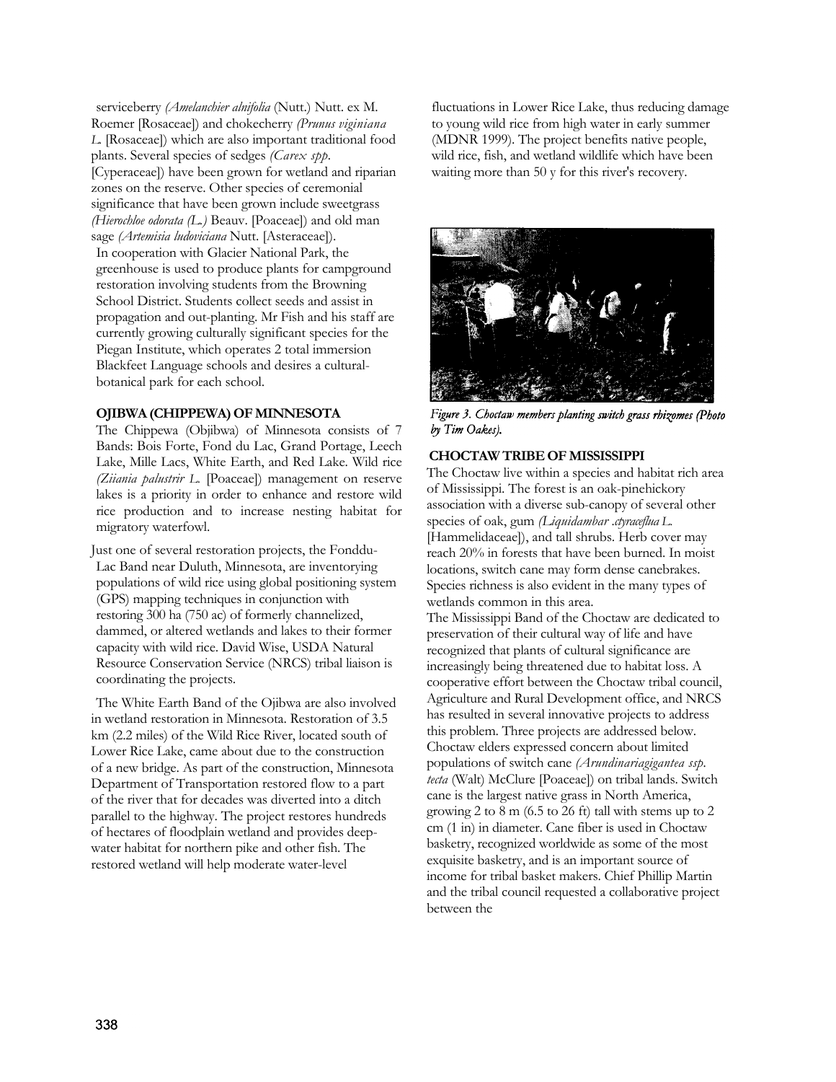serviceberry *(Amelanchier alnifolia* (Nutt.) Nutt. ex M. Roemer [Rosaceae]) and chokecherry *(Prunus viginiana L.* [Rosaceae]) which are also important traditional food plants. Several species of sedges *(Carex spp.* [Cyperaceae]) have been grown for wetland and riparian zones on the reserve. Other species of ceremonial significance that have been grown include sweetgrass *(Hierochloe odorata (L.)* Beauv. [Poaceae]) and old man sage *(Artemisia ludoviciana* Nutt. [Asteraceae]). In cooperation with Glacier National Park, the greenhouse is used to produce plants for campground restoration involving students from the Browning School District. Students collect seeds and assist in propagation and out-planting. Mr Fish and his staff are currently growing culturally significant species for the Piegan Institute, which operates 2 total immersion Blackfeet Language schools and desires a culturalbotanical park for each school.

#### **OJIBWA (CHIPPEWA) OF MINNESOTA**

The Chippewa (Objibwa) of Minnesota consists of 7 Bands: Bois Forte, Fond du Lac, Grand Portage, Leech Lake, Mille Lacs, White Earth, and Red Lake. Wild rice *(Ziiania palustrir L.* [Poaceae]) management on reserve lakes is a priority in order to enhance and restore wild rice production and to increase nesting habitat for migratory waterfowl.

Just one of several restoration projects, the Fonddu-Lac Band near Duluth, Minnesota, are inventorying populations of wild rice using global positioning system (GPS) mapping techniques in conjunction with restoring 300 ha (750 ac) of formerly channelized, dammed, or altered wetlands and lakes to their former capacity with wild rice. David Wise, USDA Natural Resource Conservation Service (NRCS) tribal liaison is coordinating the projects.

The White Earth Band of the Ojibwa are also involved in wetland restoration in Minnesota. Restoration of 3.5 km (2.2 miles) of the Wild Rice River, located south of Lower Rice Lake, came about due to the construction of a new bridge. As part of the construction, Minnesota Department of Transportation restored flow to a part of the river that for decades was diverted into a ditch parallel to the highway. The project restores hundreds of hectares of floodplain wetland and provides deepwater habitat for northern pike and other fish. The restored wetland will help moderate water-level

fluctuations in Lower Rice Lake, thus reducing damage to young wild rice from high water in early summer (MDNR 1999). The project benefits native people, wild rice, fish, and wetland wildlife which have been waiting more than 50 y for this river's recovery.



Figure 3. Choctaw members planting switch grass rhizomes (Photo by Tim Oakes).

#### **CHOCTAW TRIBE OF MISSISSIPPI**

The Choctaw live within a species and habitat rich area of Mississippi. The forest is an oak-pinehickory association with a diverse sub-canopy of several other species of oak, gum *(Liquidambar .ctyraceflua L.* [Hammelidaceae]), and tall shrubs. Herb cover may reach 20% in forests that have been burned. In moist locations, switch cane may form dense canebrakes. Species richness is also evident in the many types of wetlands common in this area.

The Mississippi Band of the Choctaw are dedicated to preservation of their cultural way of life and have recognized that plants of cultural significance are increasingly being threatened due to habitat loss. A cooperative effort between the Choctaw tribal council, Agriculture and Rural Development office, and NRCS has resulted in several innovative projects to address this problem. Three projects are addressed below. Choctaw elders expressed concern about limited populations of switch cane *(Arundinariagigantea ssp. tecta* (Walt) McClure [Poaceae]) on tribal lands. Switch cane is the largest native grass in North America, growing 2 to 8 m (6.5 to 26 ft) tall with stems up to 2 cm (1 in) in diameter. Cane fiber is used in Choctaw basketry, recognized worldwide as some of the most exquisite basketry, and is an important source of income for tribal basket makers. Chief Phillip Martin and the tribal council requested a collaborative project between the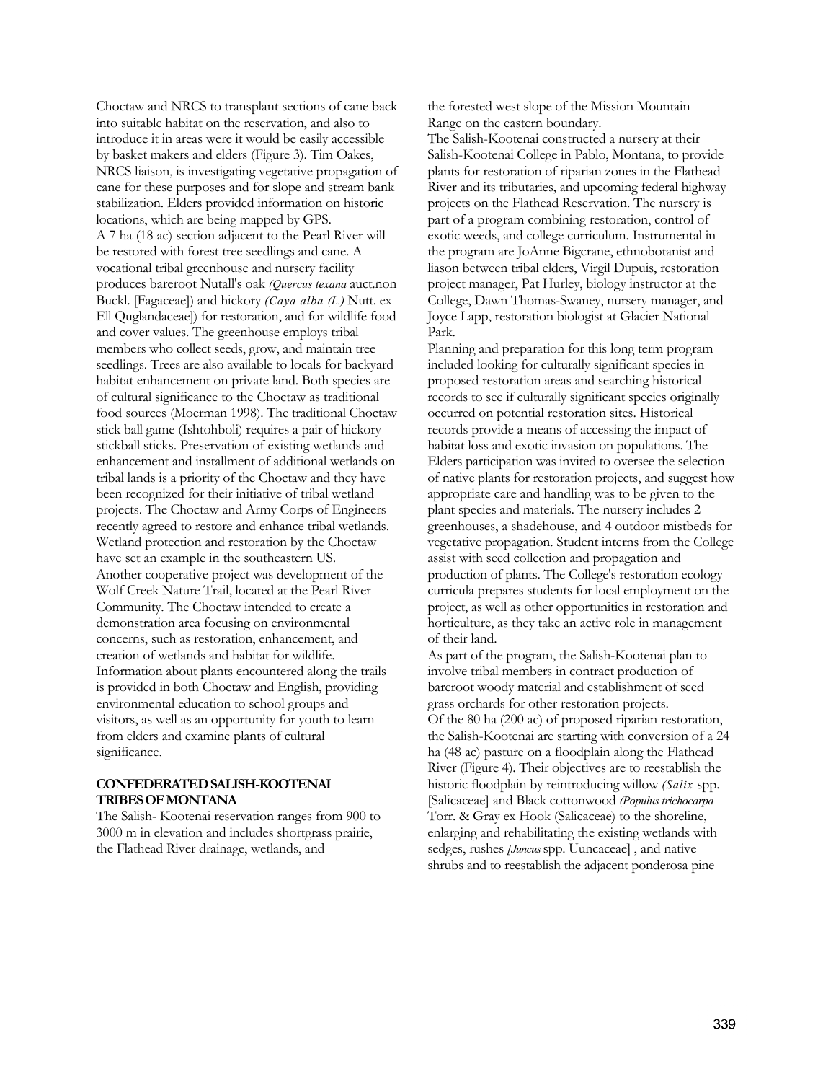Choctaw and NRCS to transplant sections of cane back into suitable habitat on the reservation, and also to introduce it in areas were it would be easily accessible by basket makers and elders (Figure 3). Tim Oakes, NRCS liaison, is investigating vegetative propagation of cane for these purposes and for slope and stream bank stabilization. Elders provided information on historic locations, which are being mapped by GPS. A 7 ha (18 ac) section adjacent to the Pearl River will be restored with forest tree seedlings and cane. A vocational tribal greenhouse and nursery facility produces bareroot Nutall's oak *(Quercus texana* auct.non Buckl. [Fagaceae]) and hickory *(Caya alba (L.)* Nutt. ex Ell Quglandaceae]) for restoration, and for wildlife food and cover values. The greenhouse employs tribal members who collect seeds, grow, and maintain tree seedlings. Trees are also available to locals for backyard habitat enhancement on private land. Both species are of cultural significance to the Choctaw as traditional food sources (Moerman 1998). The traditional Choctaw stick ball game (Ishtohboli) requires a pair of hickory stickball sticks. Preservation of existing wetlands and enhancement and installment of additional wetlands on tribal lands is a priority of the Choctaw and they have been recognized for their initiative of tribal wetland projects. The Choctaw and Army Corps of Engineers recently agreed to restore and enhance tribal wetlands. Wetland protection and restoration by the Choctaw have set an example in the southeastern US. Another cooperative project was development of the Wolf Creek Nature Trail, located at the Pearl River Community. The Choctaw intended to create a demonstration area focusing on environmental concerns, such as restoration, enhancement, and creation of wetlands and habitat for wildlife. Information about plants encountered along the trails is provided in both Choctaw and English, providing environmental education to school groups and visitors, as well as an opportunity for youth to learn from elders and examine plants of cultural significance.

#### **CONFEDERATED SALISH-KOOTENAI TRIBES OF MONTANA**

The Salish- Kootenai reservation ranges from 900 to 3000 m in elevation and includes shortgrass prairie, the Flathead River drainage, wetlands, and

the forested west slope of the Mission Mountain Range on the eastern boundary.

The Salish-Kootenai constructed a nursery at their Salish-Kootenai College in Pablo, Montana, to provide plants for restoration of riparian zones in the Flathead River and its tributaries, and upcoming federal highway projects on the Flathead Reservation. The nursery is part of a program combining restoration, control of exotic weeds, and college curriculum. Instrumental in the program are JoAnne Bigcrane, ethnobotanist and liason between tribal elders, Virgil Dupuis, restoration project manager, Pat Hurley, biology instructor at the College, Dawn Thomas-Swaney, nursery manager, and Joyce Lapp, restoration biologist at Glacier National Park.

Planning and preparation for this long term program included looking for culturally significant species in proposed restoration areas and searching historical records to see if culturally significant species originally occurred on potential restoration sites. Historical records provide a means of accessing the impact of habitat loss and exotic invasion on populations. The Elders participation was invited to oversee the selection of native plants for restoration projects, and suggest how appropriate care and handling was to be given to the plant species and materials. The nursery includes 2 greenhouses, a shadehouse, and 4 outdoor mistbeds for vegetative propagation. Student interns from the College assist with seed collection and propagation and production of plants. The College's restoration ecology curricula prepares students for local employment on the project, as well as other opportunities in restoration and horticulture, as they take an active role in management of their land.

As part of the program, the Salish-Kootenai plan to involve tribal members in contract production of bareroot woody material and establishment of seed grass orchards for other restoration projects. Of the 80 ha (200 ac) of proposed riparian restoration, the Salish-Kootenai are starting with conversion of a 24 ha (48 ac) pasture on a floodplain along the Flathead River (Figure 4). Their objectives are to reestablish the historic floodplain by reintroducing willow *(Salix* spp. [Salicaceae] and Black cottonwood *(Populus trichocarpa* Torr. & Gray ex Hook (Salicaceae) to the shoreline, enlarging and rehabilitating the existing wetlands with sedges, rushes *[Juncus* spp. Uuncaceae] , and native shrubs and to reestablish the adjacent ponderosa pine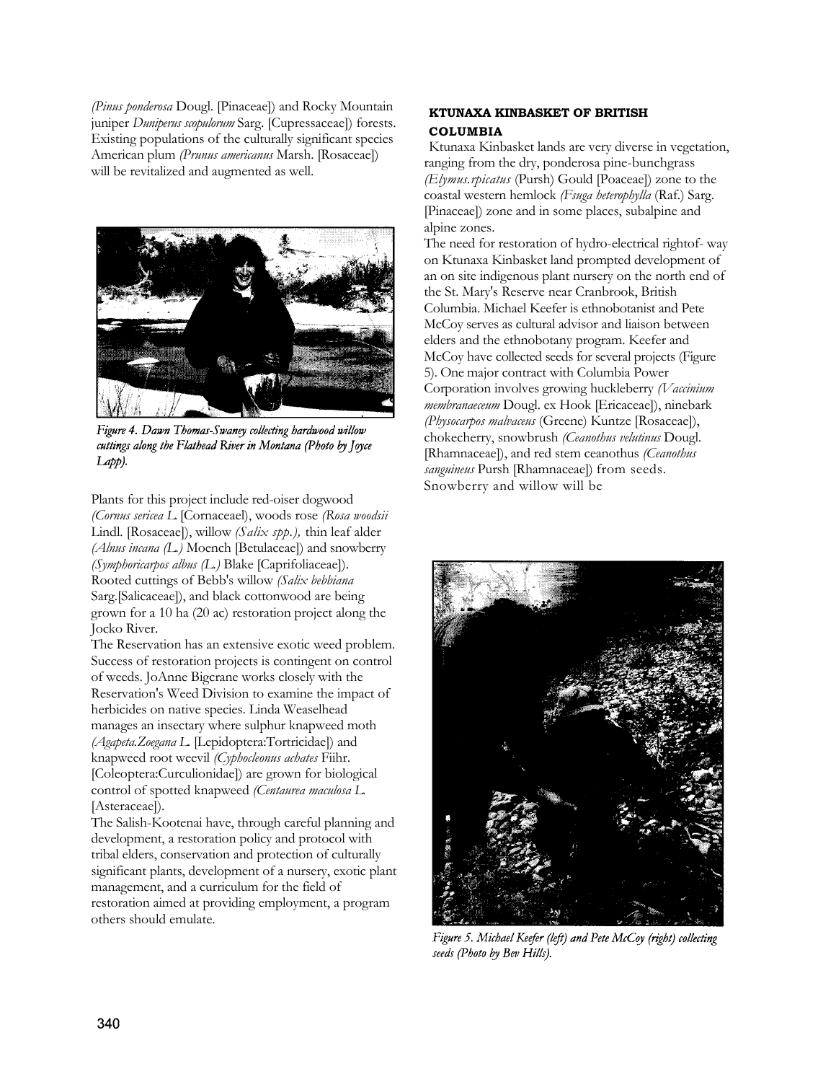*(Pinus ponderosa* Dougl. [Pinaceae]) and Rocky Mountain juniper *Duniperus scopulorum* Sarg. [Cupressaceae]) forests. Existing populations of the culturally significant species American plum *(Prunus americanus* Marsh. [Rosaceae]) will be revitalized and augmented as well.



Figure 4. Dawn Thomas-Swaney collecting hardwood willow cuttings along the Flathead River in Montana (Photo by Joyce  $L$ app).

Plants for this project include red-oiser dogwood *(Cornus sericea L.* [Cornaceael), woods rose *(Rosa woodsii*  Lindl. [Rosaceae]), willow *(Salix spp.),* thin leaf alder *(Alnus incana (L.)* Moench [Betulaceae]) and snowberry *(Symphoricarpos albus (L.)* Blake [Caprifoliaceae]). Rooted cuttings of Bebb's willow *(Salix bebbiana*  Sarg.[Salicaceae]), and black cottonwood are being grown for a 10 ha (20 ac) restoration project along the Jocko River.

The Reservation has an extensive exotic weed problem. Success of restoration projects is contingent on control of weeds. JoAnne Bigcrane works closely with the Reservation's Weed Division to examine the impact of herbicides on native species. Linda Weaselhead manages an insectary where sulphur knapweed moth *(Agapeta.Zoegana L.* [Lepidoptera:Tortricidae]) and knapweed root weevil *(Cyphocleonus achates* Fiihr. [Coleoptera:Curculionidae]) are grown for biological control of spotted knapweed *(Centaurea maculosa L.*  [Asteraceae]).

The Salish-Kootenai have, through careful planning and development, a restoration policy and protocol with tribal elders, conservation and protection of culturally significant plants, development of a nursery, exotic plant management, and a curriculum for the field of restoration aimed at providing employment, a program others should emulate.

## **KTUNAXA KINBASKET OF BRITISH COLUMBIA**

Ktunaxa Kinbasket lands are very diverse in vegetation, ranging from the dry, ponderosa pine-bunchgrass *(Elymus.rpicatus* (Pursh) Gould [Poaceae]) zone to the coastal western hemlock *(Fsuga heterophylla* (Raf.) Sarg. [Pinaceae]) zone and in some places, subalpine and alpine zones.

The need for restoration of hydro-electrical rightof- way on Ktunaxa Kinbasket land prompted development of an on site indigenous plant nursery on the north end of the St. Mary's Reserve near Cranbrook, British Columbia. Michael Keefer is ethnobotanist and Pete McCoy serves as cultural advisor and liaison between elders and the ethnobotany program. Keefer and McCoy have collected seeds for several projects (Figure 5). One major contract with Columbia Power Corporation involves growing huckleberry *(Vaccinium membranaeceum* Dougl. ex Hook [Ericaceae]), ninebark *(Physocarpos malvaceus* (Greene) Kuntze [Rosaceae]), chokecherry, snowbrush *(Ceanothus velutinus* Dougl. [Rhamnaceae]), and red stem ceanothus *(Ceanothus sanguineus* Pursh [Rhamnaceae]) from seeds. Snowberry and willow will be



Figure 5. Michael Keefer (left) and Pete McCoy (right) collecting seeds (Photo by Bev Hills).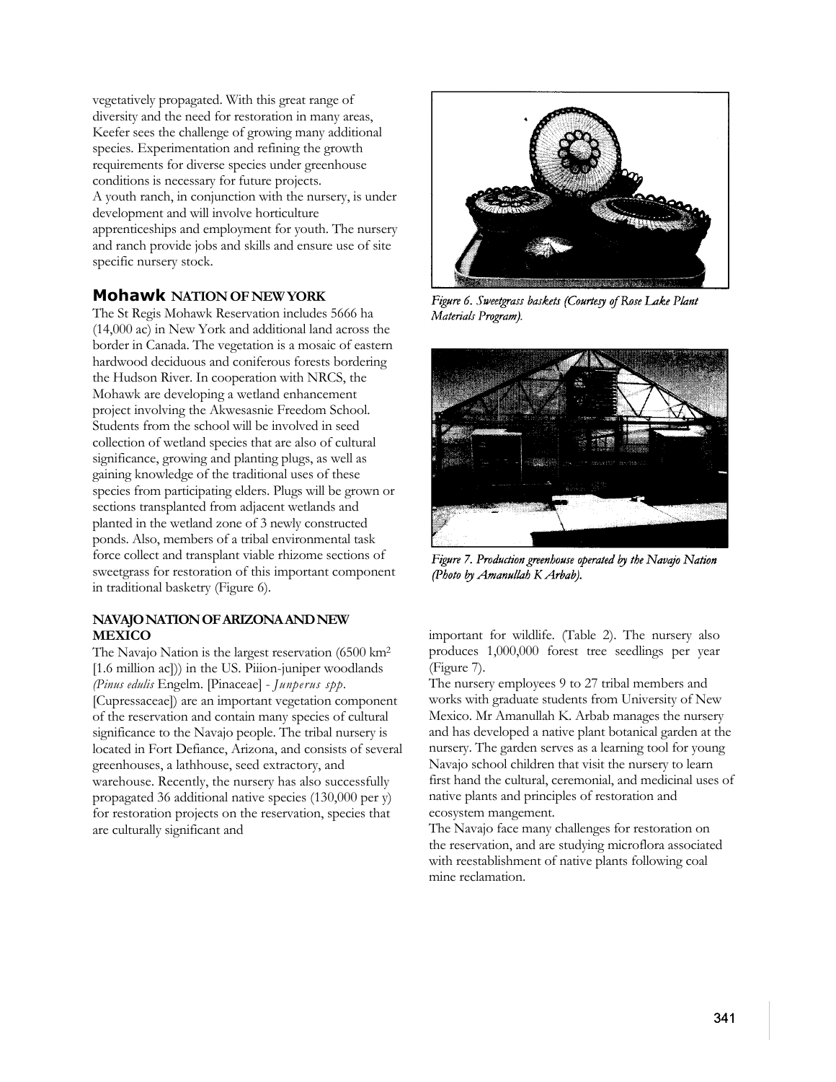vegetatively propagated. With this great range of diversity and the need for restoration in many areas, Keefer sees the challenge of growing many additional species. Experimentation and refining the growth requirements for diverse species under greenhouse conditions is necessary for future projects. A youth ranch, in conjunction with the nursery, is under development and will involve horticulture apprenticeships and employment for youth. The nursery and ranch provide jobs and skills and ensure use of site specific nursery stock.

# **Mohawk NATION OF NEW YORK**

The St Regis Mohawk Reservation includes 5666 ha (14,000 ac) in New York and additional land across the border in Canada. The vegetation is a mosaic of eastern hardwood deciduous and coniferous forests bordering the Hudson River. In cooperation with NRCS, the Mohawk are developing a wetland enhancement project involving the Akwesasnie Freedom School. Students from the school will be involved in seed collection of wetland species that are also of cultural significance, growing and planting plugs, as well as gaining knowledge of the traditional uses of these species from participating elders. Plugs will be grown or sections transplanted from adjacent wetlands and planted in the wetland zone of 3 newly constructed ponds. Also, members of a tribal environmental task force collect and transplant viable rhizome sections of sweetgrass for restoration of this important component in traditional basketry (Figure 6).

## **NAVAJO NATION OF ARIZONA AND NEW MEXICO**

The Navajo Nation is the largest reservation (6500 km2 [1.6 million ac])) in the US. Piiion-juniper woodlands *(Pinus edulis* Engelm. [Pinaceae] - *Junperus spp.*  [Cupressaceae]) are an important vegetation component of the reservation and contain many species of cultural significance to the Navajo people. The tribal nursery is located in Fort Defiance, Arizona, and consists of several greenhouses, a lathhouse, seed extractory, and warehouse. Recently, the nursery has also successfully propagated 36 additional native species (130,000 per y) for restoration projects on the reservation, species that are culturally significant and



Figure 6. Sweetgrass baskets (Courtesy of Rose Lake Plant Materials Program).



Figure 7. Production greenhouse operated by the Navajo Nation (Photo by Amanullah K Arbab).

important for wildlife. (Table 2). The nursery also produces 1,000,000 forest tree seedlings per year (Figure 7).

The nursery employees 9 to 27 tribal members and works with graduate students from University of New Mexico. Mr Amanullah K. Arbab manages the nursery and has developed a native plant botanical garden at the nursery. The garden serves as a learning tool for young Navajo school children that visit the nursery to learn first hand the cultural, ceremonial, and medicinal uses of native plants and principles of restoration and ecosystem mangement.

The Navajo face many challenges for restoration on the reservation, and are studying microflora associated with reestablishment of native plants following coal mine reclamation.